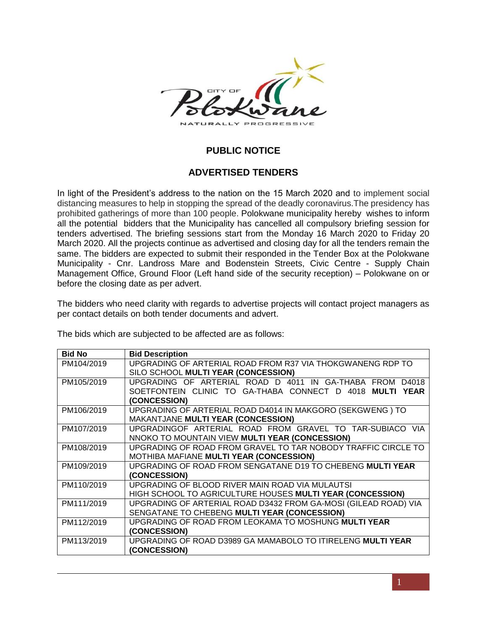

## **PUBLIC NOTICE**

## **ADVERTISED TENDERS**

In light of the President's address to the nation on the 15 March 2020 and to implement social distancing measures to help in stopping the spread of the deadly coronavirus.The presidency has prohibited gatherings of more than 100 people. Polokwane municipality hereby wishes to inform all the potential bidders that the Municipality has cancelled all compulsory briefing session for tenders advertised. The briefing sessions start from the Monday 16 March 2020 to Friday 20 March 2020. All the projects continue as advertised and closing day for all the tenders remain the same. The bidders are expected to submit their responded in the Tender Box at the Polokwane Municipality - Cnr. Landross Mare and Bodenstein Streets, Civic Centre - Supply Chain Management Office, Ground Floor (Left hand side of the security reception) – Polokwane on or before the closing date as per advert.

The bidders who need clarity with regards to advertise projects will contact project managers as per contact details on both tender documents and advert.

The bids which are subjected to be affected are as follows:

| <b>Bid No</b> | <b>Bid Description</b>                                                       |
|---------------|------------------------------------------------------------------------------|
| PM104/2019    | UPGRADING OF ARTERIAL ROAD FROM R37 VIA THOKGWANENG RDP TO                   |
|               | SILO SCHOOL MULTI YEAR (CONCESSION)                                          |
| PM105/2019    | UPGRADING OF ARTERIAL ROAD D 4011 IN GA-THABA FROM<br>D4018                  |
|               | SOETFONTEIN CLINIC TO GA-THABA CONNECT D 4018<br><b>MULTI</b><br><b>YEAR</b> |
|               | (CONCESSION)                                                                 |
| PM106/2019    | UPGRADING OF ARTERIAL ROAD D4014 IN MAKGORO (SEKGWENG) TO                    |
|               | <b>MAKANTJANE MULTI YEAR (CONCESSION)</b>                                    |
| PM107/2019    | UPGRADINGOF ARTERIAL ROAD FROM GRAVEL TO TAR-SUBIACO VIA                     |
|               | NNOKO TO MOUNTAIN VIEW MULTI YEAR (CONCESSION)                               |
| PM108/2019    | UPGRADING OF ROAD FROM GRAVEL TO TAR NOBODY TRAFFIC CIRCLE TO                |
|               | MOTHIBA MAFIANE MULTI YEAR (CONCESSION)                                      |
| PM109/2019    | UPGRADING OF ROAD FROM SENGATANE D19 TO CHEBENG MULTI YEAR                   |
|               | (CONCESSION)                                                                 |
| PM110/2019    | UPGRADING OF BLOOD RIVER MAIN ROAD VIA MULAUTSI                              |
|               | HIGH SCHOOL TO AGRICULTURE HOUSES MULTI YEAR (CONCESSION)                    |
| PM111/2019    | UPGRADING OF ARTERIAL ROAD D3432 FROM GA-MOSI (GILEAD ROAD) VIA              |
|               | SENGATANE TO CHEBENG MULTI YEAR (CONCESSION)                                 |
| PM112/2019    | UPGRADING OF ROAD FROM LEOKAMA TO MOSHUNG MULTI YEAR                         |
|               | (CONCESSION)                                                                 |
| PM113/2019    | UPGRADING OF ROAD D3989 GA MAMABOLO TO ITIRELENG MULTI YEAR                  |
|               | (CONCESSION)                                                                 |